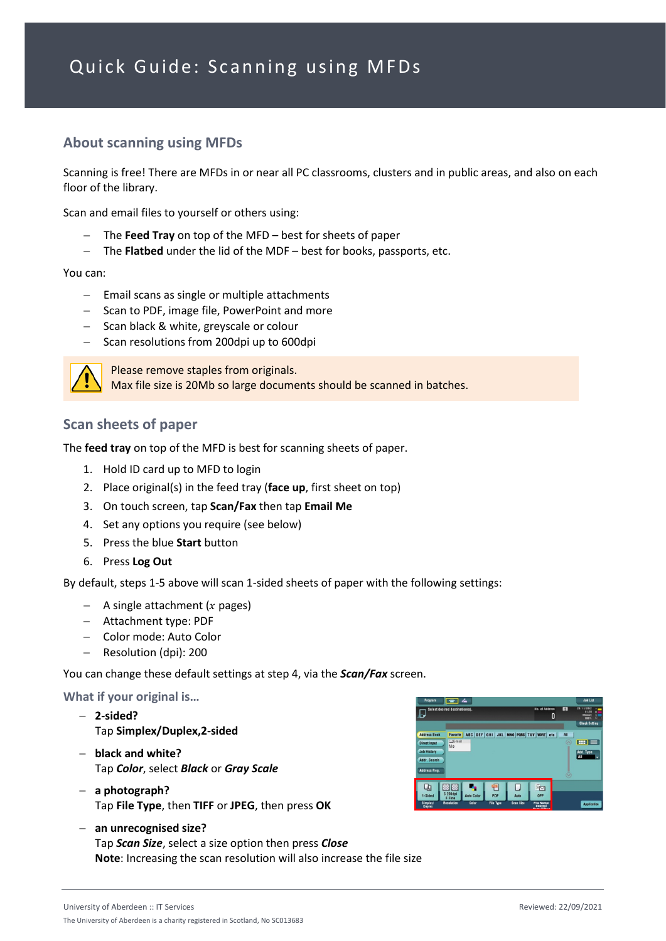## **About scanning using MFDs**

Scanning is free! There are MFDs in or near all PC classrooms, clusters and in public areas, and also on each floor of the library.

Scan and email files to yourself or others using:

- − The **Feed Tray** on top of the MFD best for sheets of paper
- − The **Flatbed** under the lid of the MDF best for books, passports, etc.

You can:

- − Email scans as single or multiple attachments
- − Scan to PDF, image file, PowerPoint and more
- − Scan black & white, greyscale or colour
- − Scan resolutions from 200dpi up to 600dpi



Please remove staples from originals. Max file size is 20Mb so large documents should be scanned in batches.

## **Scan sheets of paper**

The **feed tray** on top of the MFD is best for scanning sheets of paper.

- 1. Hold ID card up to MFD to login
- 2. Place original(s) in the feed tray (**face up**, first sheet on top)
- 3. On touch screen, tap **Scan/Fax** then tap **Email Me**
- 4. Set any options you require (see below)
- 5. Press the blue **Start** button
- 6. Press **Log Out**

By default, steps 1-5 above will scan 1-sided sheets of paper with the following settings:

- $-$  A single attachment ( $x$  pages)
- − Attachment type: PDF
- − Color mode: Auto Color
- − Resolution (dpi): 200

You can change these default settings at step 4, via the *Scan/Fax* screen.

**What if your original is…**

- − **2-sided?** Tap **Simplex/Duplex,2-sided**
- − **black and white?** Tap *Color*, select *Black* or *Gray Scale*
- − **a photograph?** Tap **File Type**, then **TIFF** or **JPEG**, then press **OK**



− **an unrecognised size?** Tap *Scan Size*, select a size option then press *Close* **Note**: Increasing the scan resolution will also increase the file size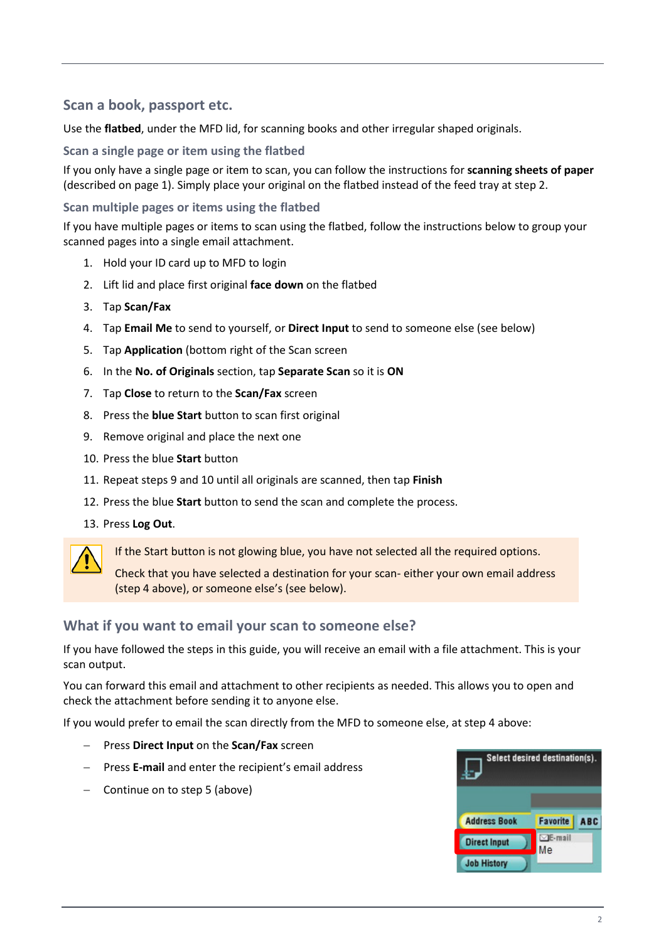## **Scan a book, passport etc.**

Use the **flatbed**, under the MFD lid, for scanning books and other irregular shaped originals.

### **Scan a single page or item using the flatbed**

If you only have a single page or item to scan, you can follow the instructions for **scanning sheets of paper** (described on page 1). Simply place your original on the flatbed instead of the feed tray at step 2.

#### **Scan multiple pages or items using the flatbed**

If you have multiple pages or items to scan using the flatbed, follow the instructions below to group your scanned pages into a single email attachment.

- 1. Hold your ID card up to MFD to login
- 2. Lift lid and place first original **face down** on the flatbed
- 3. Tap **Scan/Fax**
- 4. Tap **Email Me** to send to yourself, or **Direct Input** to send to someone else (see below)
- 5. Tap **Application** (bottom right of the Scan screen
- 6. In the **No. of Originals** section, tap **Separate Scan** so it is **ON**
- 7. Tap **Close** to return to the **Scan/Fax** screen
- 8. Press the **blue Start** button to scan first original
- 9. Remove original and place the next one
- 10. Press the blue **Start** button
- 11. Repeat steps 9 and 10 until all originals are scanned, then tap **Finish**
- 12. Press the blue **Start** button to send the scan and complete the process.
- 13. Press **Log Out**.



If the Start button is not glowing blue, you have not selected all the required options.

Check that you have selected a destination for your scan- either your own email address (step 4 above), or someone else's (see below).

## **What if you want to email your scan to someone else?**

If you have followed the steps in this guide, you will receive an email with a file attachment. This is your scan output.

You can forward this email and attachment to other recipients as needed. This allows you to open and check the attachment before sending it to anyone else.

If you would prefer to email the scan directly from the MFD to someone else, at step 4 above:

- − Press **Direct Input** on the **Scan/Fax** screen
- − Press **E-mail** and enter the recipient's email address
- − Continue on to step 5 (above)